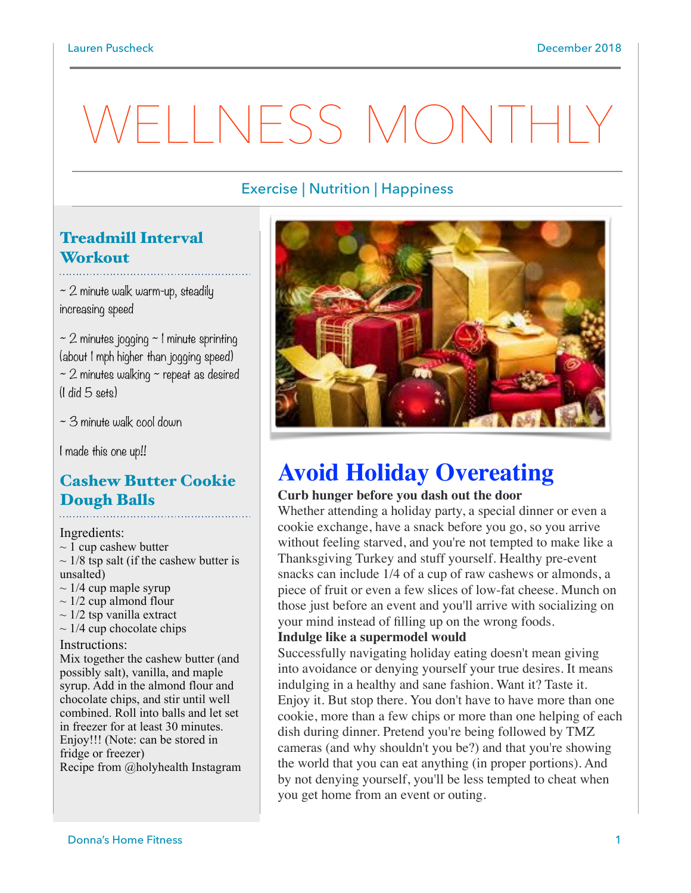# WELLNESS MONTH

## Exercise | Nutrition | Happiness

# Treadmill Interval **Workout**

 $\sim$  2 minute walk warm-up, steadily increasing speed

 $\sim$  2 minutes jogging  $\sim$  1 minute sprinting (about 1 mph higher than jogging speed)  $\sim$  2 minutes walking  $\sim$  repeat as desired (I did 5 sets)

~ 3 minute walk cool down

I made this one up!!

# Cashew Butter Cookie Dough Balls

Ingredients:

- $\sim$  1 cup cashew butter
- $\sim$  1/8 tsp salt (if the cashew butter is unsalted)
- $\sim$  1/4 cup maple syrup
- $\sim$  1/2 cup almond flour
- $\sim$  1/2 tsp vanilla extract
- $\sim$  1/4 cup chocolate chips

#### Instructions:

Mix together the cashew butter (and possibly salt), vanilla, and maple syrup. Add in the almond flour and chocolate chips, and stir until well combined. Roll into balls and let set in freezer for at least 30 minutes. Enjoy!!! (Note: can be stored in fridge or freezer) Recipe from @holyhealth Instagram



# **Avoid Holiday Overeating**

#### **Curb [hunger](https://www.psychologytoday.com/us/basics/appetite) before you dash out the door**

Whether attending a holiday party, a special dinner or even a cookie exchange, have a snack before you go, so you arrive without feeling starved, and you're not tempted to make like a Thanksgiving Turkey and stuff yourself. Healthy pre-event snacks can include 1/4 of a cup of raw cashews or almonds, a piece of fruit or even a few slices of low-fat cheese. Munch on those just before an event and you'll arrive with socializing on your mind instead of filling up on the wrong foods.

#### **Indulge like a supermodel would**

Successfully navigating holiday eating doesn't mean giving into avoidance or denying yourself your true desires. It means indulging in a healthy and sane fashion. Want it? Taste it. Enjoy it. But stop there. You don't have to have more than one cookie, more than a few chips or more than one helping of each dish during dinner. Pretend you're being followed by TMZ cameras (and why shouldn't you be?) and that you're showing the world that you can eat anything (in proper portions). And by not denying yourself, you'll be less tempted to cheat when you get home from an event or outing.